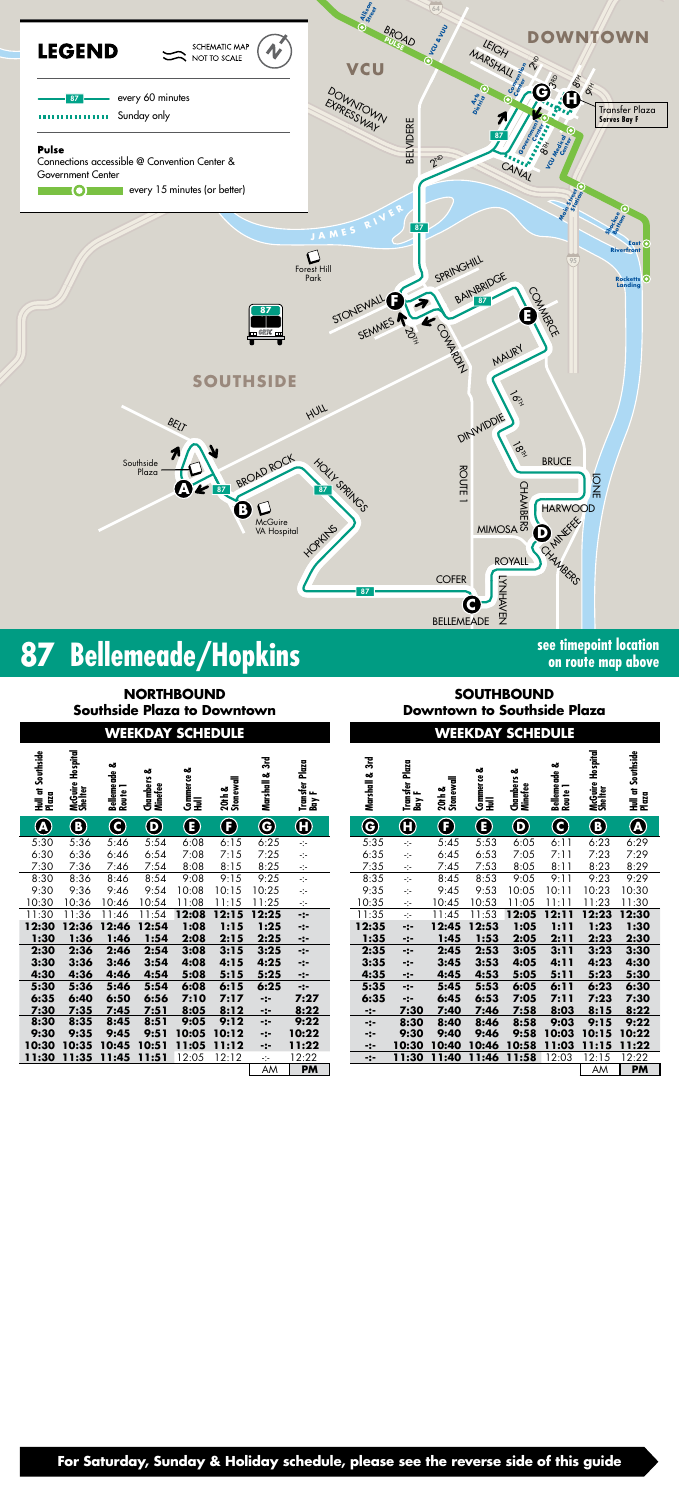

# **87 Bellemeade/Hopkins SPICE 2016 See timepoint location**

**on route map above**

## **WEEKDAY SCHEDULE WEEKDAY SCHEDULE**

**NORTHBOUND Southside Plaza to Downtown**

**SOUTHBOUND Downtown to Southside Plaza**

**For Saturday, Sunday & Holiday schedule, please see the reverse side of this guide**

| Hull at Southside<br>Plaza | ospital<br>Ĩ.<br>McGuire<br>Shelter | ఱ<br>Bellemeade<br>Route 1 | ఱ<br>S<br>Chambers<br>Minefee  | ఱ<br>Commerce<br>Hull | 20th &<br>Stonewall | $\mathbb{R}$<br>ఱ<br>Marshall | <b>Transfer Plaza</b><br>ъ.<br>ια | 3rd<br>Marshall & | Plaza<br>Transfer  <br>Bay F | 20th &<br>Stonewall   | ఱ<br>Commerce<br>Hull | ఱ<br>s<br>Chambers<br>Minefee | ఱ<br>Bellemeade<br>Route 1 | McGuire Hospital<br>Shelter | Hull at Southside<br>Plase |
|----------------------------|-------------------------------------|----------------------------|--------------------------------|-----------------------|---------------------|-------------------------------|-----------------------------------|-------------------|------------------------------|-----------------------|-----------------------|-------------------------------|----------------------------|-----------------------------|----------------------------|
| $\bigcirc$                 | $\bigcirc$                          | $\bf Q$                    | $\boldsymbol{\mathsf{\Theta}}$ | $\bf \bm \Theta$      | $\bf \bm{\Theta}$   | $\bf{G}$                      | $\bm \theta$                      | $\bf G$           | $\bm \Theta$                 | $\boldsymbol{\Theta}$ | $\bf \bm \Theta$      | $\bf \Phi$                    | $\mathbf{\Theta}$          | $\bigcirc$                  | $\widehat{\mathbf{A}}$     |
| 5:30                       | 5:36                                | 5:46                       | 5:54                           | 6:08                  | 6:15                | 6:25                          | $\mathcal{L}_{\mathcal{L}}$       | 5:35              | ÷                            | 5:45                  | 5:53                  | 6:05                          | 6:11                       | 6:23                        | 6:2                        |
| 6:30<br>7:30               | 6:36<br>7:36                        | 6:46<br>7:46               | 6:54<br>7:54                   | 7:08<br>8:08          | 7:15<br>8:15        | 7:25<br>8:25                  | ÷t÷                               | 6:35<br>7:35      | -1-                          | 6:45<br>7:45          | 6:53<br>7:53          | 7:05<br>8:05                  | 7:11<br>8:11               | 7:23<br>8:23                | 7:2<br>8:2                 |
| 8:30                       | 8:36                                | 8:46                       | 8:54                           | 9:08                  | 9:15                | 9:25                          | ÷t÷<br>$\frac{1}{2}$              | 8:35              | ÷<br>÷                       | 8:45                  | 8:53                  | 9:05                          | 9:11                       | 9:23                        | 9:2                        |
| 9:30                       | 9:36                                | 9:46                       | 9:54                           | 10:08                 | 10:15               | 0:25                          | -1-                               | 9:35              | ÷j÷                          | 9:45                  | 9:53                  | 10:05                         | 10:11                      | 10:23                       | 10:3                       |
| 10:30                      | 10:36                               | 10:46                      | 10:54                          | 11:08                 | 11:15               | 11:25                         | ÷                                 | 10:35             | ÷                            | 10:45                 | 10:53                 | 11:05                         | 11:11                      | 11:23                       | 11:3                       |
| 11:30                      | 11:36                               | 11:46                      | 11:54                          | 12:08                 | 12:15               | 12:25                         | -:-                               | 11:35             | ÷                            | 11:45                 | 11:53                 | 12:05                         | 12:11                      | 12:23                       | 12:3                       |
| 12:30                      | 12:36                               | 12:46                      | 12:54                          | 1:08                  | 1:15                | 1:25                          | -:-                               | 12:35             | -:-                          | 12:45                 | 12:53                 | 1:05                          | 1:11                       | 1:23                        | 1:3                        |
| 1:30                       | 1:36                                | 1:46                       | 1:54                           | 2:08                  | 2:15                | 2:25                          | -:-                               | 1:35              | -:-                          | 1:45                  | 1:53                  | 2:05                          | 2:11                       | 2:23                        | 2:3                        |
| 2:30                       | 2:36                                | 2:46                       | 2:54                           | 3:08                  | 3:15                | 3:25                          | -:-                               | 2:35              | -:-                          | 2:45                  | 2:53                  | 3:05                          | 3:11                       | 3:23                        | 3:3                        |
| 3:30                       | 3:36                                | 3:46                       | 3:54                           | 4:08                  | 4:15                | 4:25                          | -:-                               | 3:35              | -:-                          | 3:45                  | 3:53                  | 4:05                          | 4:11                       | 4:23                        | 4:3                        |
| 4:30                       | 4:36                                | 4:46                       | 4:54                           | 5:08                  | 5:15                | 5:25                          | -:-                               | 4:35              | -:-                          | 4:45                  | 4:53                  | 5:05                          | 5:11                       | 5:23                        | 5:3                        |
| 5:30<br>6:35               | 5:36<br>6:40                        | 5:46<br>6:50               | 5:54<br>6:56                   | 6:08<br>7:10          | 6:15<br>7:17        | 6:25<br>-:-                   | -:-<br>7:27                       | 5:35<br>6:35      | -:-<br>-:-                   | 5:45<br>6:45          | 5:53<br>6:53          | 6:05<br>7:05                  | 6:11<br>7:11               | 6:23<br>7:23                | 6:3<br>7:3                 |
| 7:30                       | 7:35                                | 7:45                       | 7:51                           | 8:05                  | 8:12                | -:-                           | 8:22                              | -:-               | 7:30                         | 7:40                  | 7:46                  | 7:58                          | 8:03                       | 8:15                        | 8:2                        |
| 8:30                       | 8:35                                | 8:45                       | 8:51                           | 9:05                  | 9:12                | -:-                           | 9:22                              | $-:-$             | 8:30                         | 8:40                  | 8:46                  | 8:58                          | 9:03                       | 9:15                        | 9:2                        |
| 9:30                       | 9:35                                | 9:45                       | 9:51                           | 10:05                 | 10:12               | -:-                           | 10:22                             | -:-               | 9:30                         | 9:40                  | 9:46                  | 9:58                          | 10:03                      | 10:15                       | 10:2                       |
| 10:30                      | 10:35                               | 10:45                      | 10:51                          | 11:05                 | 11:12               | -:-                           | 11:22                             | -:-               | 10:30                        | 10:40                 | 10:46                 | 10:58                         | 11:03                      | 11:15                       | 11:2                       |
| 11:30                      | 11:35                               | 11:45                      | 11:51                          | 12:05                 | 12:12               | ÷t÷                           | 12:22                             | -:-               | 11:30                        | 11:40                 | 11:46                 | <u>11:58</u>                  | 12:03                      | 12:15                       | 12:2                       |
|                            |                                     |                            |                                |                       |                     | AM                            | <b>PM</b>                         |                   |                              |                       |                       |                               |                            | AM                          | P <sub>I</sub>             |

| ភី<br><b>Q</b> Marshall & | Plaza<br>Transfer<br>Bay F | 3rd<br>Marshall & | Plaza<br>Transfer<br>Bay F | 20th &<br>Stonewall       | Commerce &<br>Hull                             | Chambers &<br><b>Minefee</b> | Bellemeade &<br>Route 1 | McGuire Hospital<br>Shelter | Hull at Southside<br>Plaza |
|---------------------------|----------------------------|-------------------|----------------------------|---------------------------|------------------------------------------------|------------------------------|-------------------------|-----------------------------|----------------------------|
|                           | $\bigoplus$                | $\bf \widehat{G}$ | $\bigoplus$                | $\mathbf{\widehat{\Phi}}$ | $\mathbf{E}% _{0}\left( \mathbf{1}_{1}\right)$ | $\bf \Phi$                   | C)                      | $\bf{O}$                    | $\mathbf{\widehat{A}}$     |
| $\overline{\frac{3}{25}}$ | -1-                        | 5:35              | ÷                          | 5:45                      | 5:53                                           | 6:05                         | 6:11                    | 6:23                        | 6:29                       |
| 7:25                      | -1-                        | 6:35              | -1-                        | 6:45                      | 6:53                                           | 7:05                         | 7:11                    | 7:23                        | 7:29                       |
| 3:25                      | -1-                        | 7:35              | $\div$                     | 7:45                      | 7:53                                           | 8:05                         | 8:11                    | 8:23                        | 8:29                       |
| 25                        | -1-                        | 8:35              | ÷                          | 8:45                      | 8:53                                           | 9:05                         | 9:11                    | 9:23                        | 9:29                       |
| 25                        | ÷                          | 9:35              | -1-                        | 9:45                      | 9:53                                           | 10:05                        | 10:11                   | 10:23                       | 10:30                      |
| :25                       | ÷                          | 10:35             | ÷                          | 10:45                     | 10:53                                          | 11:05                        | 11:11                   | 11:23                       | 11:30                      |
| 25                        | ∹:-                        | 11:35             | ÷                          | 11:45                     | 11:53                                          | 12:05                        | 12:11                   | 12:23                       | 12:30                      |
| :25                       | -:-                        | 12:35             | -:-                        | 12:45                     | 12:53                                          | 1:05                         | 1:11                    | 1:23                        | 1:30                       |
| 2:25                      | -:-                        | 1:35              | -:-                        | 1:45                      | 1:53                                           | 2:05                         | 2:11                    | 2:23                        | 2:30                       |
| 3:25                      | ∹:-                        | 2:35              | ∹:-                        | 2:45                      | 2:53                                           | 3:05                         | 3:11                    | 3:23                        | 3:30                       |
| $\frac{1}{25}$            | -:-                        | 3:35              | -:-                        | 3:45                      | 3:53                                           | 4:05                         | 4:11                    | 4:23                        | 4:30                       |
| $\frac{1}{25}$            | -:-                        | 4:35              | -:-                        | 4:45                      | 4:53                                           | 5:05                         | 5:11                    | 5:23                        | 5:30                       |
| $\dot{\boldsymbol{.}}25$  | -:-                        | 5:35              | ∹:-                        | 5:45                      | 5:53                                           | 6:05                         | 6:11                    | 6:23                        | 6:30                       |
| $\ddot{\cdot}$            | 7:27                       | 6:35              | -:-                        | 6:45                      | 6:53                                           | 7:05                         | 7:11                    | 7:23                        | 7:30                       |
| ÷<br>::-                  | 8:22                       | -:-               | 7:30                       | 7:40                      | 7:46                                           | 7:58                         | 8:03                    | 8:15                        | 8:22                       |
|                           | 9:22                       | -:-               | 8:30                       | 8:40                      | 8:46                                           | 8:58                         | 9:03                    | 9:15                        | 9:22                       |
| ∙:∙                       | 10:22                      | -:-               | 9:30                       | 9:40                      | 9:46                                           | 9:58                         | 10:03                   | 10:15                       | 10:22                      |
| •:∙                       | 11:22                      | -:-               | <u>10:30</u>               | 10:40                     | 10:46                                          | 10:58                        | 11:03                   | 11:15                       | 11:22                      |
| -:-<br>АМ                 | 12:22                      | -:-               | <u> 11:30</u>              | <u>11:40</u>              | <u>11:46</u>                                   | <u>11:58</u>                 | 12:03                   | <u> 12:15</u>               | 12:22                      |
|                           | <b>PM</b>                  |                   |                            |                           |                                                |                              |                         | $\overline{AM}$             | <b>PM</b>                  |